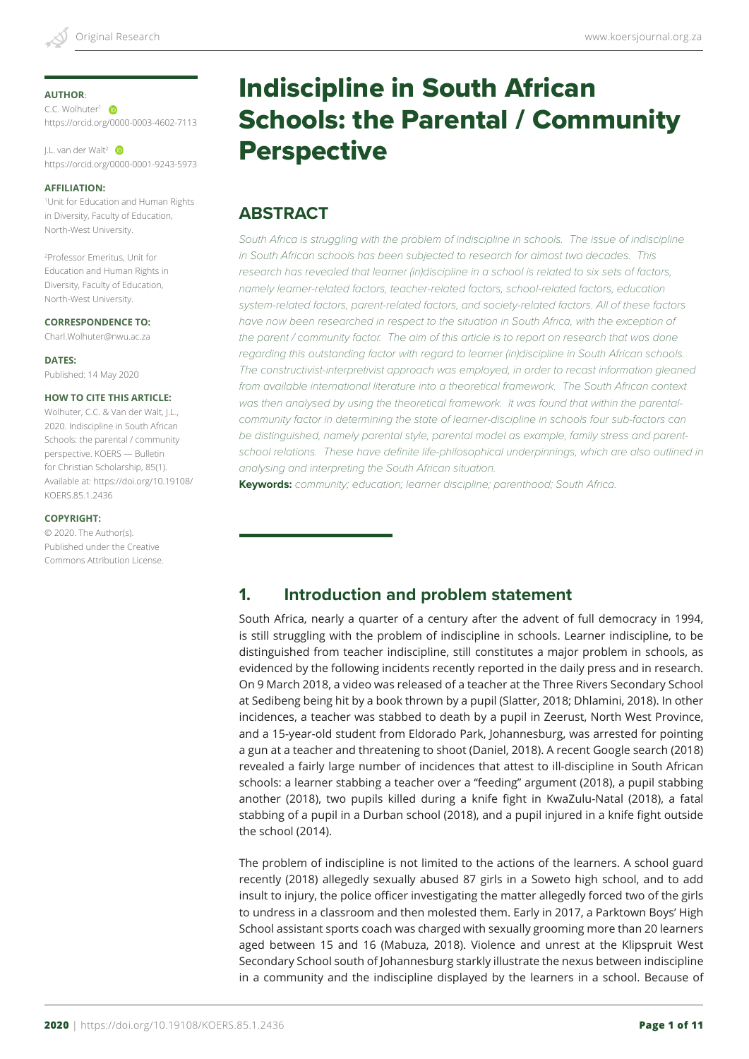#### **AUTHOR**:

C.C. Wolhuter<sup>1</sup> https://orcid.org/0000-0003-4602-7113

J.L. van der Walt2 https://orcid.org/0000-0001-9243-5973

#### **AFFILIATION:**

1 Unit for Education and Human Rights in Diversity, Faculty of Education, North-West University.

2 Professor Emeritus, Unit for Education and Human Rights in Diversity, Faculty of Education, North-West University.

**CORRESPONDENCE TO:** Charl.Wolhuter@nwu.ac.za

**DATES:** Published: 14 May 2020

#### **HOW TO CITE THIS ARTICLE:**

Wolhuter, C.C. & Van der Walt, J.L., 2020. Indiscipline in South African Schools: the parental / community perspective. KOERS — Bulletin for Christian Scholarship, 85(1). Available at: https://doi.org/10.19108/ KOERS.85.1.2436

#### **COPYRIGHT:**

© 2020. The Author(s). Published under the Creative Commons Attribution License.

# Indiscipline in South African Schools: the Parental / Community **Perspective**

# **ABSTRACT**

*South Africa is struggling with the problem of indiscipline in schools. The issue of indiscipline in South African schools has been subjected to research for almost two decades. This research has revealed that learner (in)discipline in a school is related to six sets of factors, namely learner-related factors, teacher-related factors, school-related factors, education system-related factors, parent-related factors, and society-related factors. All of these factors*  have now been researched in respect to the situation in South Africa, with the exception of *the parent / community factor. The aim of this article is to report on research that was done regarding this outstanding factor with regard to learner (in)discipline in South African schools. The constructivist-interpretivist approach was employed, in order to recast information gleaned*  from available international literature into a theoretical framework. The South African context *was then analysed by using the theoretical framework. It was found that within the parentalcommunity factor in determining the state of learner-discipline in schools four sub-factors can be distinguished, namely parental style, parental model as example, family stress and parentschool relations. These have definite life-philosophical underpinnings, which are also outlined in analysing and interpreting the South African situation.* 

**Keywords:** *community; education; learner discipline; parenthood; South Africa.*

# **1. Introduction and problem statement**

South Africa, nearly a quarter of a century after the advent of full democracy in 1994, is still struggling with the problem of indiscipline in schools. Learner indiscipline, to be distinguished from teacher indiscipline, still constitutes a major problem in schools, as evidenced by the following incidents recently reported in the daily press and in research. On 9 March 2018, a video was released of a teacher at the Three Rivers Secondary School at Sedibeng being hit by a book thrown by a pupil (Slatter, 2018; Dhlamini, 2018). In other incidences, a teacher was stabbed to death by a pupil in Zeerust, North West Province, and a 15-year-old student from Eldorado Park, Johannesburg, was arrested for pointing a gun at a teacher and threatening to shoot (Daniel, 2018). A recent Google search (2018) revealed a fairly large number of incidences that attest to ill-discipline in South African schools: a learner stabbing a teacher over a "feeding" argument (2018), a pupil stabbing another (2018), two pupils killed during a knife fight in KwaZulu-Natal (2018), a fatal stabbing of a pupil in a Durban school (2018), and a pupil injured in a knife fight outside the school (2014).

The problem of indiscipline is not limited to the actions of the learners. A school guard recently (2018) allegedly sexually abused 87 girls in a Soweto high school, and to add insult to injury, the police officer investigating the matter allegedly forced two of the girls to undress in a classroom and then molested them. Early in 2017, a Parktown Boys' High School assistant sports coach was charged with sexually grooming more than 20 learners aged between 15 and 16 (Mabuza, 2018). Violence and unrest at the Klipspruit West Secondary School south of Johannesburg starkly illustrate the nexus between indiscipline in a community and the indiscipline displayed by the learners in a school. Because of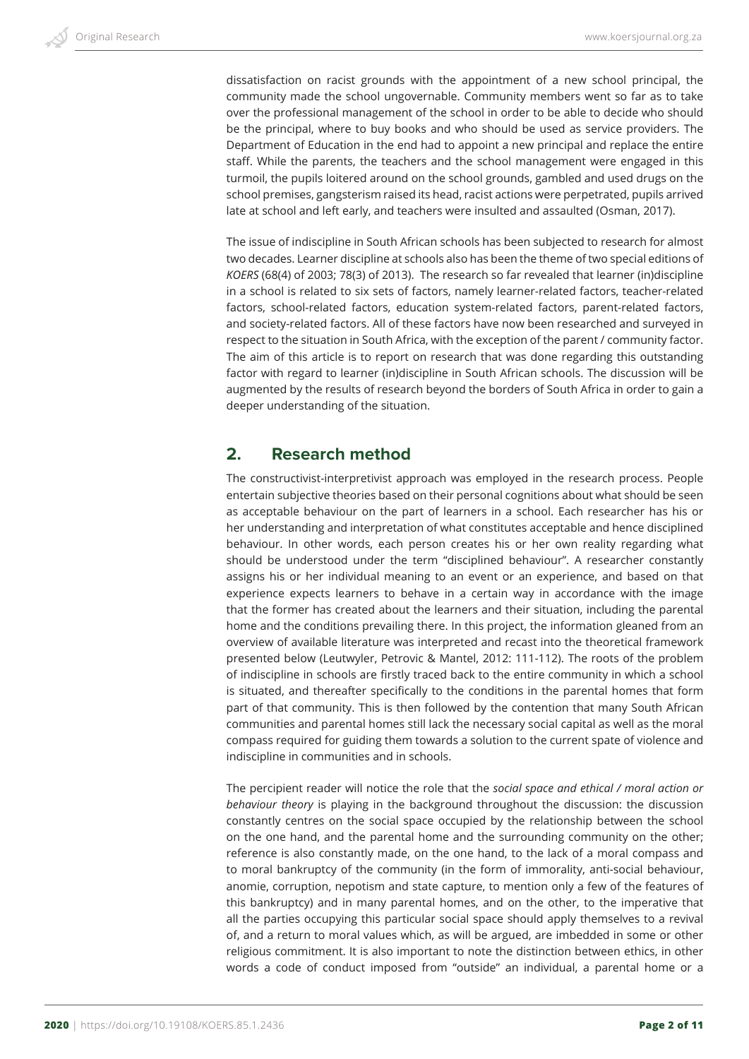dissatisfaction on racist grounds with the appointment of a new school principal, the community made the school ungovernable. Community members went so far as to take over the professional management of the school in order to be able to decide who should be the principal, where to buy books and who should be used as service providers. The Department of Education in the end had to appoint a new principal and replace the entire staff. While the parents, the teachers and the school management were engaged in this turmoil, the pupils loitered around on the school grounds, gambled and used drugs on the school premises, gangsterism raised its head, racist actions were perpetrated, pupils arrived late at school and left early, and teachers were insulted and assaulted (Osman, 2017).

The issue of indiscipline in South African schools has been subjected to research for almost two decades. Learner discipline at schools also has been the theme of two special editions of *KOERS* (68(4) of 2003; 78(3) of 2013). The research so far revealed that learner (in)discipline in a school is related to six sets of factors, namely learner-related factors, teacher-related factors, school-related factors, education system-related factors, parent-related factors, and society-related factors. All of these factors have now been researched and surveyed in respect to the situation in South Africa, with the exception of the parent / community factor. The aim of this article is to report on research that was done regarding this outstanding factor with regard to learner (in)discipline in South African schools. The discussion will be augmented by the results of research beyond the borders of South Africa in order to gain a deeper understanding of the situation.

## **2. Research method**

The constructivist-interpretivist approach was employed in the research process. People entertain subjective theories based on their personal cognitions about what should be seen as acceptable behaviour on the part of learners in a school. Each researcher has his or her understanding and interpretation of what constitutes acceptable and hence disciplined behaviour. In other words, each person creates his or her own reality regarding what should be understood under the term "disciplined behaviour". A researcher constantly assigns his or her individual meaning to an event or an experience, and based on that experience expects learners to behave in a certain way in accordance with the image that the former has created about the learners and their situation, including the parental home and the conditions prevailing there. In this project, the information gleaned from an overview of available literature was interpreted and recast into the theoretical framework presented below (Leutwyler, Petrovic & Mantel, 2012: 111-112). The roots of the problem of indiscipline in schools are firstly traced back to the entire community in which a school is situated, and thereafter specifically to the conditions in the parental homes that form part of that community. This is then followed by the contention that many South African communities and parental homes still lack the necessary social capital as well as the moral compass required for guiding them towards a solution to the current spate of violence and indiscipline in communities and in schools.

The percipient reader will notice the role that the *social space and ethical / moral action or behaviour theory* is playing in the background throughout the discussion: the discussion constantly centres on the social space occupied by the relationship between the school on the one hand, and the parental home and the surrounding community on the other; reference is also constantly made, on the one hand, to the lack of a moral compass and to moral bankruptcy of the community (in the form of immorality, anti-social behaviour, anomie, corruption, nepotism and state capture, to mention only a few of the features of this bankruptcy) and in many parental homes, and on the other, to the imperative that all the parties occupying this particular social space should apply themselves to a revival of, and a return to moral values which, as will be argued, are imbedded in some or other religious commitment. It is also important to note the distinction between ethics, in other words a code of conduct imposed from "outside" an individual, a parental home or a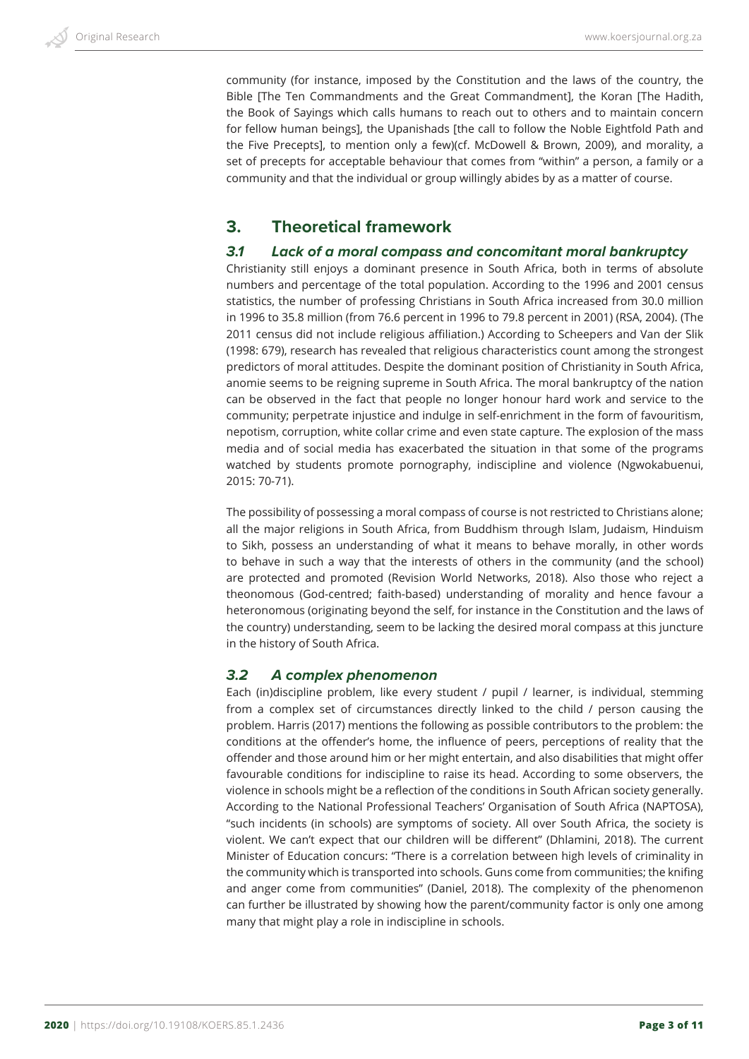community (for instance, imposed by the Constitution and the laws of the country, the Bible [The Ten Commandments and the Great Commandment], the Koran [The Hadith, the Book of Sayings which calls humans to reach out to others and to maintain concern for fellow human beings], the Upanishads [the call to follow the Noble Eightfold Path and the Five Precepts], to mention only a few)(cf. McDowell & Brown, 2009), and morality, a set of precepts for acceptable behaviour that comes from "within" a person, a family or a community and that the individual or group willingly abides by as a matter of course.

## **3. Theoretical framework**

## *3.1 Lack of a moral compass and concomitant moral bankruptcy*

Christianity still enjoys a dominant presence in South Africa, both in terms of absolute numbers and percentage of the total population. According to the 1996 and 2001 census statistics, the number of professing Christians in South Africa increased from 30.0 million in 1996 to 35.8 million (from 76.6 percent in 1996 to 79.8 percent in 2001) (RSA, 2004). (The 2011 census did not include religious affiliation.) According to Scheepers and Van der Slik (1998: 679), research has revealed that religious characteristics count among the strongest predictors of moral attitudes. Despite the dominant position of Christianity in South Africa, anomie seems to be reigning supreme in South Africa. The moral bankruptcy of the nation can be observed in the fact that people no longer honour hard work and service to the community; perpetrate injustice and indulge in self-enrichment in the form of favouritism, nepotism, corruption, white collar crime and even state capture. The explosion of the mass media and of social media has exacerbated the situation in that some of the programs watched by students promote pornography, indiscipline and violence (Ngwokabuenui, 2015: 70-71).

The possibility of possessing a moral compass of course is not restricted to Christians alone; all the major religions in South Africa, from Buddhism through Islam, Judaism, Hinduism to Sikh, possess an understanding of what it means to behave morally, in other words to behave in such a way that the interests of others in the community (and the school) are protected and promoted (Revision World Networks, 2018). Also those who reject a theonomous (God-centred; faith-based) understanding of morality and hence favour a heteronomous (originating beyond the self, for instance in the Constitution and the laws of the country) understanding, seem to be lacking the desired moral compass at this juncture in the history of South Africa.

#### *3.2 A complex phenomenon*

Each (in)discipline problem, like every student / pupil / learner, is individual, stemming from a complex set of circumstances directly linked to the child / person causing the problem. Harris (2017) mentions the following as possible contributors to the problem: the conditions at the offender's home, the influence of peers, perceptions of reality that the offender and those around him or her might entertain, and also disabilities that might offer favourable conditions for indiscipline to raise its head. According to some observers, the violence in schools might be a reflection of the conditions in South African society generally. According to the National Professional Teachers' Organisation of South Africa (NAPTOSA), "such incidents (in schools) are symptoms of society. All over South Africa, the society is violent. We can't expect that our children will be different" (Dhlamini, 2018). The current Minister of Education concurs: "There is a correlation between high levels of criminality in the community which is transported into schools. Guns come from communities; the knifing and anger come from communities" (Daniel, 2018). The complexity of the phenomenon can further be illustrated by showing how the parent/community factor is only one among many that might play a role in indiscipline in schools.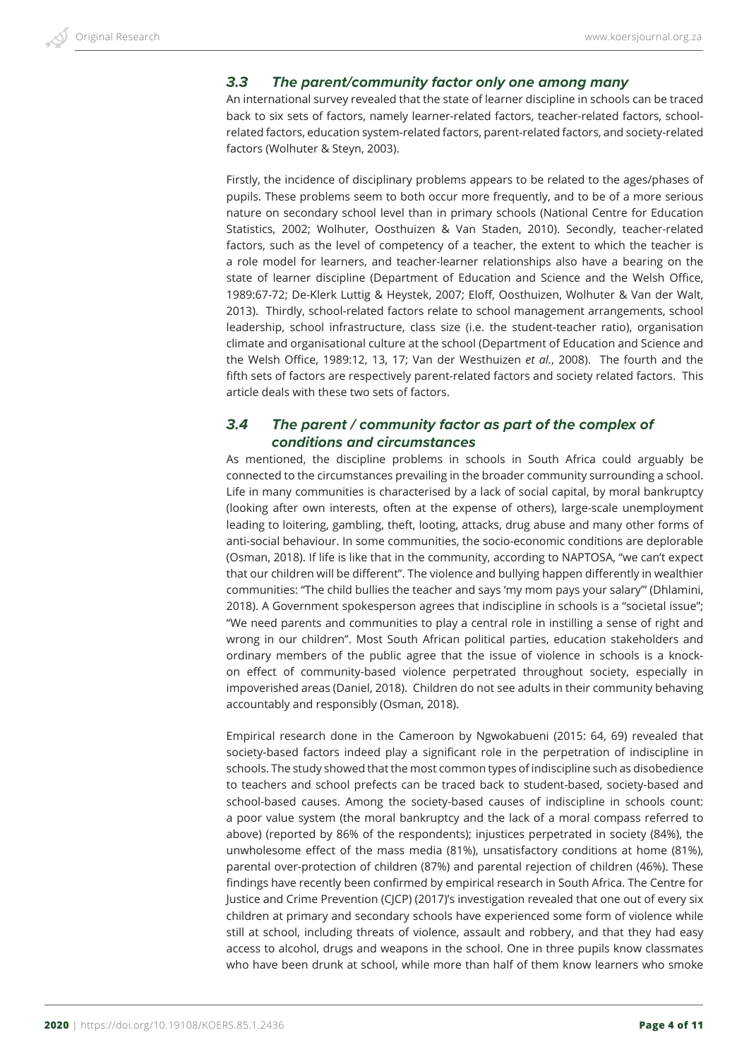## *3.3 The parent/community factor only one among many*

An international survey revealed that the state of learner discipline in schools can be traced back to six sets of factors, namely learner-related factors, teacher-related factors, schoolrelated factors, education system-related factors, parent-related factors, and society-related factors (Wolhuter & Steyn, 2003).

Firstly, the incidence of disciplinary problems appears to be related to the ages/phases of pupils. These problems seem to both occur more frequently, and to be of a more serious nature on secondary school level than in primary schools (National Centre for Education Statistics, 2002; Wolhuter, Oosthuizen & Van Staden, 2010). Secondly, teacher-related factors, such as the level of competency of a teacher, the extent to which the teacher is a role model for learners, and teacher-learner relationships also have a bearing on the state of learner discipline (Department of Education and Science and the Welsh Office, 1989:67-72; De-Klerk Luttig & Heystek, 2007; Eloff, Oosthuizen, Wolhuter & Van der Walt, 2013). Thirdly, school-related factors relate to school management arrangements, school leadership, school infrastructure, class size (i.e. the student-teacher ratio), organisation climate and organisational culture at the school (Department of Education and Science and the Welsh Office, 1989:12, 13, 17; Van der Westhuizen *et al.*, 2008). The fourth and the fifth sets of factors are respectively parent-related factors and society related factors. This article deals with these two sets of factors.

## *3.4 The parent / community factor as part of the complex of conditions and circumstances*

As mentioned, the discipline problems in schools in South Africa could arguably be connected to the circumstances prevailing in the broader community surrounding a school. Life in many communities is characterised by a lack of social capital, by moral bankruptcy (looking after own interests, often at the expense of others), large-scale unemployment leading to loitering, gambling, theft, looting, attacks, drug abuse and many other forms of anti-social behaviour. In some communities, the socio-economic conditions are deplorable (Osman, 2018). If life is like that in the community, according to NAPTOSA, "we can't expect that our children will be different". The violence and bullying happen differently in wealthier communities: "The child bullies the teacher and says 'my mom pays your salary'" (Dhlamini, 2018). A Government spokesperson agrees that indiscipline in schools is a "societal issue"; "We need parents and communities to play a central role in instilling a sense of right and wrong in our children". Most South African political parties, education stakeholders and ordinary members of the public agree that the issue of violence in schools is a knockon effect of community-based violence perpetrated throughout society, especially in impoverished areas (Daniel, 2018). Children do not see adults in their community behaving accountably and responsibly (Osman, 2018).

Empirical research done in the Cameroon by Ngwokabueni (2015: 64, 69) revealed that society-based factors indeed play a significant role in the perpetration of indiscipline in schools. The study showed that the most common types of indiscipline such as disobedience to teachers and school prefects can be traced back to student-based, society-based and school-based causes. Among the society-based causes of indiscipline in schools count: a poor value system (the moral bankruptcy and the lack of a moral compass referred to above) (reported by 86% of the respondents); injustices perpetrated in society (84%), the unwholesome effect of the mass media (81%), unsatisfactory conditions at home (81%), parental over-protection of children (87%) and parental rejection of children (46%). These findings have recently been confirmed by empirical research in South Africa. The Centre for Justice and Crime Prevention (CJCP) (2017)'s investigation revealed that one out of every six children at primary and secondary schools have experienced some form of violence while still at school, including threats of violence, assault and robbery, and that they had easy access to alcohol, drugs and weapons in the school. One in three pupils know classmates who have been drunk at school, while more than half of them know learners who smoke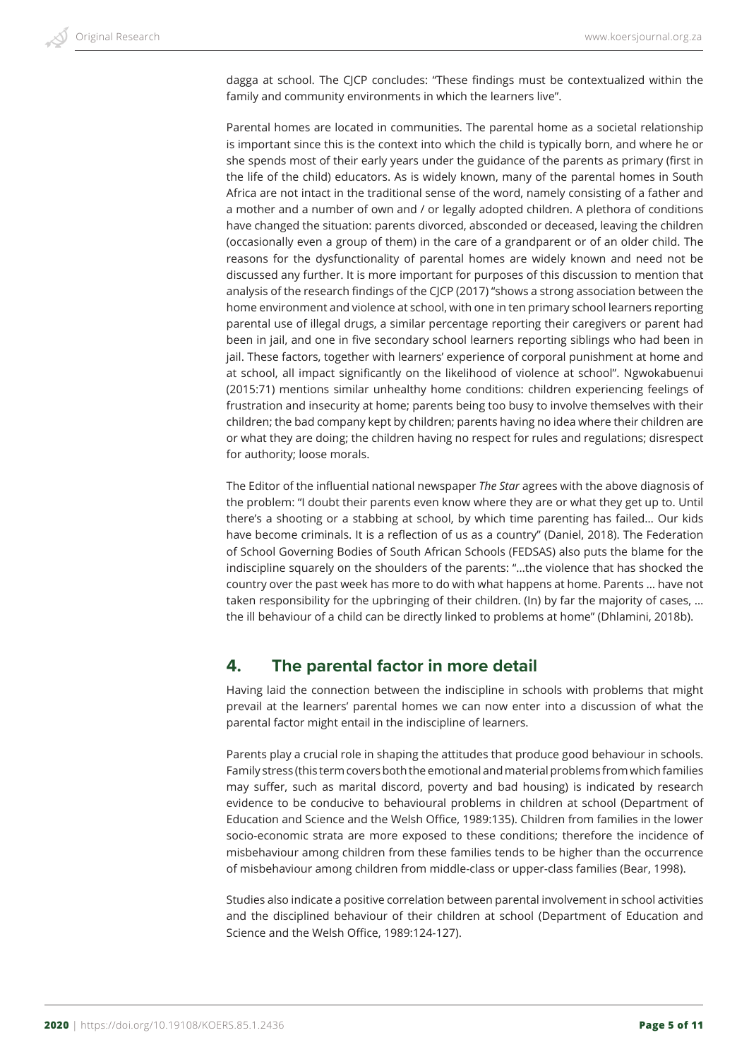dagga at school. The CJCP concludes: "These findings must be contextualized within the family and community environments in which the learners live".

Parental homes are located in communities. The parental home as a societal relationship is important since this is the context into which the child is typically born, and where he or she spends most of their early years under the guidance of the parents as primary (first in the life of the child) educators. As is widely known, many of the parental homes in South Africa are not intact in the traditional sense of the word, namely consisting of a father and a mother and a number of own and / or legally adopted children. A plethora of conditions have changed the situation: parents divorced, absconded or deceased, leaving the children (occasionally even a group of them) in the care of a grandparent or of an older child. The reasons for the dysfunctionality of parental homes are widely known and need not be discussed any further. It is more important for purposes of this discussion to mention that analysis of the research findings of the CJCP (2017) "shows a strong association between the home environment and violence at school, with one in ten primary school learners reporting parental use of illegal drugs, a similar percentage reporting their caregivers or parent had been in jail, and one in five secondary school learners reporting siblings who had been in jail. These factors, together with learners' experience of corporal punishment at home and at school, all impact significantly on the likelihood of violence at school". Ngwokabuenui (2015:71) mentions similar unhealthy home conditions: children experiencing feelings of frustration and insecurity at home; parents being too busy to involve themselves with their children; the bad company kept by children; parents having no idea where their children are or what they are doing; the children having no respect for rules and regulations; disrespect for authority; loose morals.

The Editor of the influential national newspaper *The Star* agrees with the above diagnosis of the problem: "I doubt their parents even know where they are or what they get up to. Until there's a shooting or a stabbing at school, by which time parenting has failed… Our kids have become criminals. It is a reflection of us as a country" (Daniel, 2018). The Federation of School Governing Bodies of South African Schools (FEDSAS) also puts the blame for the indiscipline squarely on the shoulders of the parents: "…the violence that has shocked the country over the past week has more to do with what happens at home. Parents … have not taken responsibility for the upbringing of their children. (In) by far the majority of cases, … the ill behaviour of a child can be directly linked to problems at home" (Dhlamini, 2018b).

# **4. The parental factor in more detail**

Having laid the connection between the indiscipline in schools with problems that might prevail at the learners' parental homes we can now enter into a discussion of what the parental factor might entail in the indiscipline of learners.

Parents play a crucial role in shaping the attitudes that produce good behaviour in schools. Family stress (this term covers both the emotional and material problems from which families may suffer, such as marital discord, poverty and bad housing) is indicated by research evidence to be conducive to behavioural problems in children at school (Department of Education and Science and the Welsh Office, 1989:135). Children from families in the lower socio-economic strata are more exposed to these conditions; therefore the incidence of misbehaviour among children from these families tends to be higher than the occurrence of misbehaviour among children from middle-class or upper-class families (Bear, 1998).

Studies also indicate a positive correlation between parental involvement in school activities and the disciplined behaviour of their children at school (Department of Education and Science and the Welsh Office, 1989:124-127).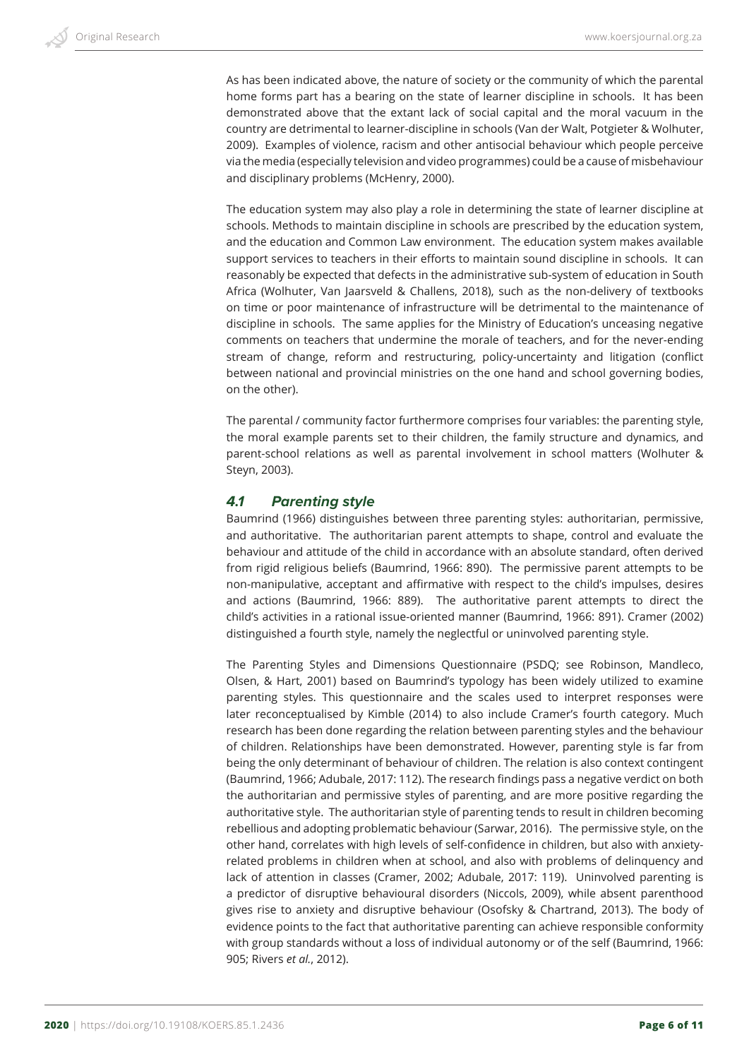As has been indicated above, the nature of society or the community of which the parental home forms part has a bearing on the state of learner discipline in schools. It has been demonstrated above that the extant lack of social capital and the moral vacuum in the country are detrimental to learner-discipline in schools (Van der Walt, Potgieter & Wolhuter, 2009). Examples of violence, racism and other antisocial behaviour which people perceive via the media (especially television and video programmes) could be a cause of misbehaviour and disciplinary problems (McHenry, 2000).

The education system may also play a role in determining the state of learner discipline at schools. Methods to maintain discipline in schools are prescribed by the education system, and the education and Common Law environment. The education system makes available support services to teachers in their efforts to maintain sound discipline in schools. It can reasonably be expected that defects in the administrative sub-system of education in South Africa (Wolhuter, Van Jaarsveld & Challens, 2018), such as the non-delivery of textbooks on time or poor maintenance of infrastructure will be detrimental to the maintenance of discipline in schools. The same applies for the Ministry of Education's unceasing negative comments on teachers that undermine the morale of teachers, and for the never-ending stream of change, reform and restructuring, policy-uncertainty and litigation (conflict between national and provincial ministries on the one hand and school governing bodies, on the other).

The parental / community factor furthermore comprises four variables: the parenting style, the moral example parents set to their children, the family structure and dynamics, and parent-school relations as well as parental involvement in school matters (Wolhuter & Steyn, 2003).

## *4.1 Parenting style*

Baumrind (1966) distinguishes between three parenting styles: authoritarian, permissive, and authoritative. The authoritarian parent attempts to shape, control and evaluate the behaviour and attitude of the child in accordance with an absolute standard, often derived from rigid religious beliefs (Baumrind, 1966: 890). The permissive parent attempts to be non-manipulative, acceptant and affirmative with respect to the child's impulses, desires and actions (Baumrind, 1966: 889). The authoritative parent attempts to direct the child's activities in a rational issue-oriented manner (Baumrind, 1966: 891). Cramer (2002) distinguished a fourth style, namely the neglectful or uninvolved parenting style.

The Parenting Styles and Dimensions Questionnaire (PSDQ; see Robinson, Mandleco, Olsen, & Hart, 2001) based on Baumrind's typology has been widely utilized to examine parenting styles. This questionnaire and the scales used to interpret responses were later reconceptualised by Kimble (2014) to also include Cramer's fourth category. Much research has been done regarding the relation between parenting styles and the behaviour of children. Relationships have been demonstrated. However, parenting style is far from being the only determinant of behaviour of children. The relation is also context contingent (Baumrind, 1966; Adubale, 2017: 112). The research findings pass a negative verdict on both the authoritarian and permissive styles of parenting, and are more positive regarding the authoritative style. The authoritarian style of parenting tends to result in children becoming rebellious and adopting problematic behaviour (Sarwar, 2016). The permissive style, on the other hand, correlates with high levels of self-confidence in children, but also with anxietyrelated problems in children when at school, and also with problems of delinquency and lack of attention in classes (Cramer, 2002; Adubale, 2017: 119). Uninvolved parenting is a predictor of disruptive behavioural disorders (Niccols, 2009), while absent parenthood gives rise to anxiety and disruptive behaviour (Osofsky & Chartrand, 2013). The body of evidence points to the fact that authoritative parenting can achieve responsible conformity with group standards without a loss of individual autonomy or of the self (Baumrind, 1966: 905; Rivers *et al.*, 2012).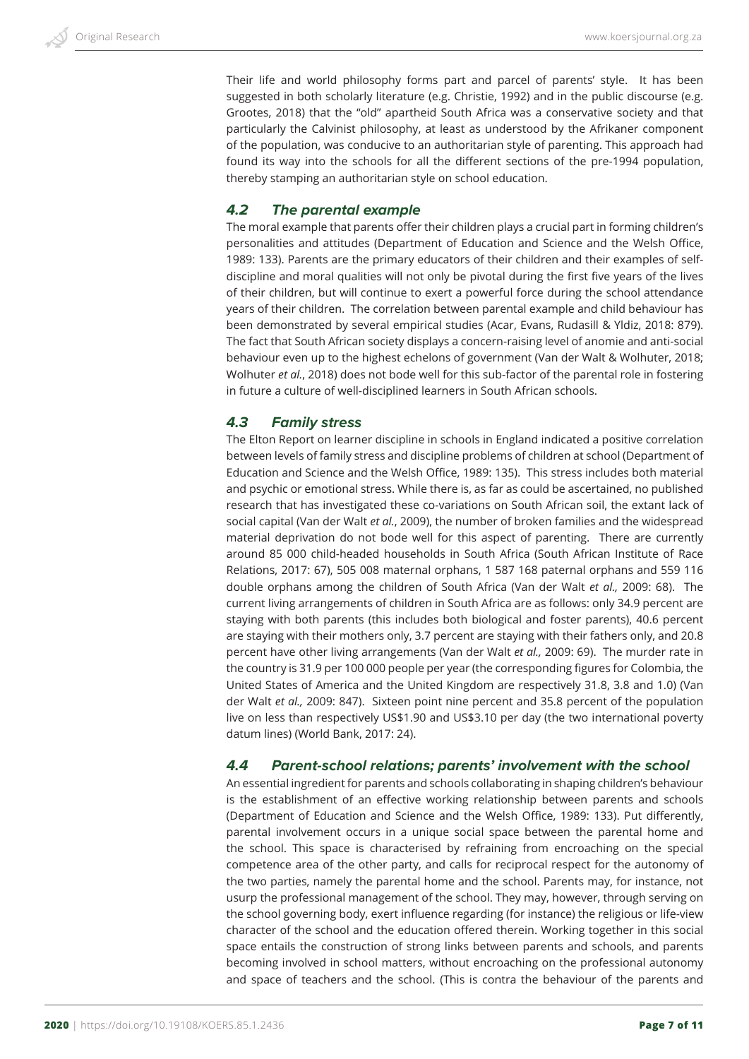Their life and world philosophy forms part and parcel of parents' style. It has been suggested in both scholarly literature (e.g. Christie, 1992) and in the public discourse (e.g. Grootes, 2018) that the "old" apartheid South Africa was a conservative society and that particularly the Calvinist philosophy, at least as understood by the Afrikaner component of the population, was conducive to an authoritarian style of parenting. This approach had found its way into the schools for all the different sections of the pre-1994 population, thereby stamping an authoritarian style on school education.

#### *4.2 The parental example*

The moral example that parents offer their children plays a crucial part in forming children's personalities and attitudes (Department of Education and Science and the Welsh Office, 1989: 133). Parents are the primary educators of their children and their examples of selfdiscipline and moral qualities will not only be pivotal during the first five years of the lives of their children, but will continue to exert a powerful force during the school attendance years of their children. The correlation between parental example and child behaviour has been demonstrated by several empirical studies (Acar, Evans, Rudasill & Yldiz, 2018: 879). The fact that South African society displays a concern-raising level of anomie and anti-social behaviour even up to the highest echelons of government (Van der Walt & Wolhuter, 2018; Wolhuter *et al.*, 2018) does not bode well for this sub-factor of the parental role in fostering in future a culture of well-disciplined learners in South African schools.

#### *4.3 Family stress*

The Elton Report on learner discipline in schools in England indicated a positive correlation between levels of family stress and discipline problems of children at school (Department of Education and Science and the Welsh Office, 1989: 135). This stress includes both material and psychic or emotional stress. While there is, as far as could be ascertained, no published research that has investigated these co-variations on South African soil, the extant lack of social capital (Van der Walt *et al.*, 2009), the number of broken families and the widespread material deprivation do not bode well for this aspect of parenting. There are currently around 85 000 child-headed households in South Africa (South African Institute of Race Relations, 2017: 67), 505 008 maternal orphans, 1 587 168 paternal orphans and 559 116 double orphans among the children of South Africa (Van der Walt *et al.,* 2009: 68). The current living arrangements of children in South Africa are as follows: only 34.9 percent are staying with both parents (this includes both biological and foster parents), 40.6 percent are staying with their mothers only, 3.7 percent are staying with their fathers only, and 20.8 percent have other living arrangements (Van der Walt *et al.,* 2009: 69). The murder rate in the country is 31.9 per 100 000 people per year (the corresponding figures for Colombia, the United States of America and the United Kingdom are respectively 31.8, 3.8 and 1.0) (Van der Walt *et al.,* 2009: 847). Sixteen point nine percent and 35.8 percent of the population live on less than respectively US\$1.90 and US\$3.10 per day (the two international poverty datum lines) (World Bank, 2017: 24).

#### *4.4 Parent-school relations; parents' involvement with the school*

An essential ingredient for parents and schools collaborating in shaping children's behaviour is the establishment of an effective working relationship between parents and schools (Department of Education and Science and the Welsh Office, 1989: 133). Put differently, parental involvement occurs in a unique social space between the parental home and the school. This space is characterised by refraining from encroaching on the special competence area of the other party, and calls for reciprocal respect for the autonomy of the two parties, namely the parental home and the school. Parents may, for instance, not usurp the professional management of the school. They may, however, through serving on the school governing body, exert influence regarding (for instance) the religious or life-view character of the school and the education offered therein. Working together in this social space entails the construction of strong links between parents and schools, and parents becoming involved in school matters, without encroaching on the professional autonomy and space of teachers and the school. (This is contra the behaviour of the parents and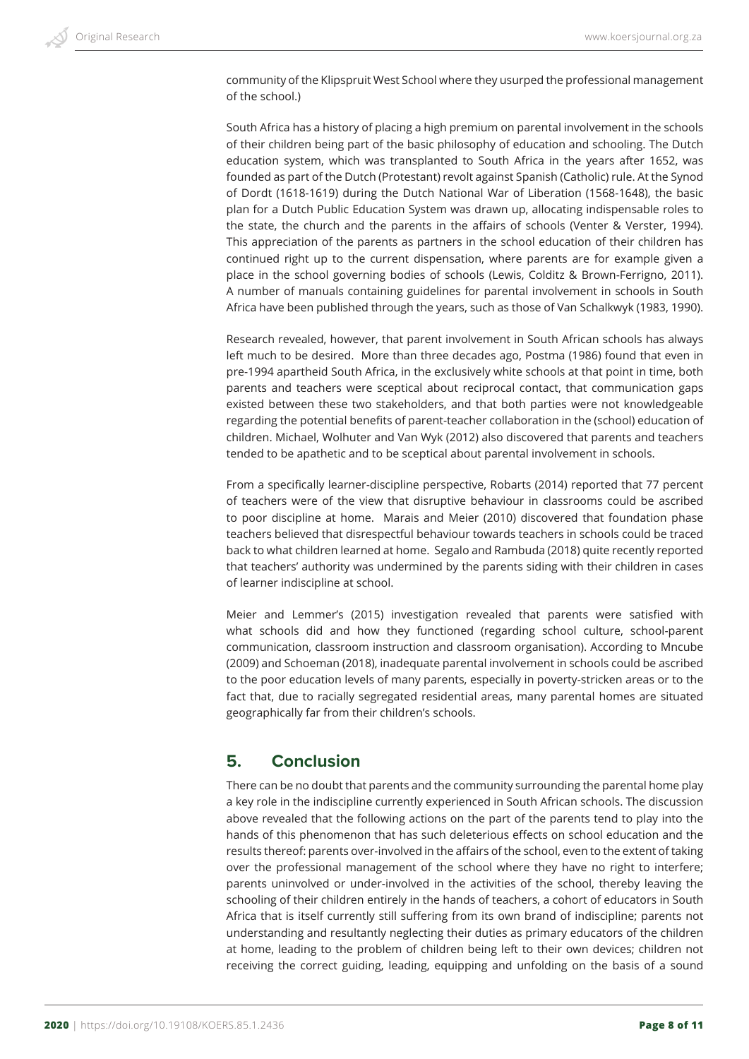community of the Klipspruit West School where they usurped the professional management of the school.)

South Africa has a history of placing a high premium on parental involvement in the schools of their children being part of the basic philosophy of education and schooling. The Dutch education system, which was transplanted to South Africa in the years after 1652, was founded as part of the Dutch (Protestant) revolt against Spanish (Catholic) rule. At the Synod of Dordt (1618-1619) during the Dutch National War of Liberation (1568-1648), the basic plan for a Dutch Public Education System was drawn up, allocating indispensable roles to the state, the church and the parents in the affairs of schools (Venter & Verster, 1994). This appreciation of the parents as partners in the school education of their children has continued right up to the current dispensation, where parents are for example given a place in the school governing bodies of schools (Lewis, Colditz & Brown-Ferrigno, 2011). A number of manuals containing guidelines for parental involvement in schools in South Africa have been published through the years, such as those of Van Schalkwyk (1983, 1990).

Research revealed, however, that parent involvement in South African schools has always left much to be desired. More than three decades ago, Postma (1986) found that even in pre-1994 apartheid South Africa, in the exclusively white schools at that point in time, both parents and teachers were sceptical about reciprocal contact, that communication gaps existed between these two stakeholders, and that both parties were not knowledgeable regarding the potential benefits of parent-teacher collaboration in the (school) education of children. Michael, Wolhuter and Van Wyk (2012) also discovered that parents and teachers tended to be apathetic and to be sceptical about parental involvement in schools.

From a specifically learner-discipline perspective, Robarts (2014) reported that 77 percent of teachers were of the view that disruptive behaviour in classrooms could be ascribed to poor discipline at home. Marais and Meier (2010) discovered that foundation phase teachers believed that disrespectful behaviour towards teachers in schools could be traced back to what children learned at home. Segalo and Rambuda (2018) quite recently reported that teachers' authority was undermined by the parents siding with their children in cases of learner indiscipline at school.

Meier and Lemmer's (2015) investigation revealed that parents were satisfied with what schools did and how they functioned (regarding school culture, school-parent communication, classroom instruction and classroom organisation). According to Mncube (2009) and Schoeman (2018), inadequate parental involvement in schools could be ascribed to the poor education levels of many parents, especially in poverty-stricken areas or to the fact that, due to racially segregated residential areas, many parental homes are situated geographically far from their children's schools.

## **5. Conclusion**

There can be no doubt that parents and the community surrounding the parental home play a key role in the indiscipline currently experienced in South African schools. The discussion above revealed that the following actions on the part of the parents tend to play into the hands of this phenomenon that has such deleterious effects on school education and the results thereof: parents over-involved in the affairs of the school, even to the extent of taking over the professional management of the school where they have no right to interfere; parents uninvolved or under-involved in the activities of the school, thereby leaving the schooling of their children entirely in the hands of teachers, a cohort of educators in South Africa that is itself currently still suffering from its own brand of indiscipline; parents not understanding and resultantly neglecting their duties as primary educators of the children at home, leading to the problem of children being left to their own devices; children not receiving the correct guiding, leading, equipping and unfolding on the basis of a sound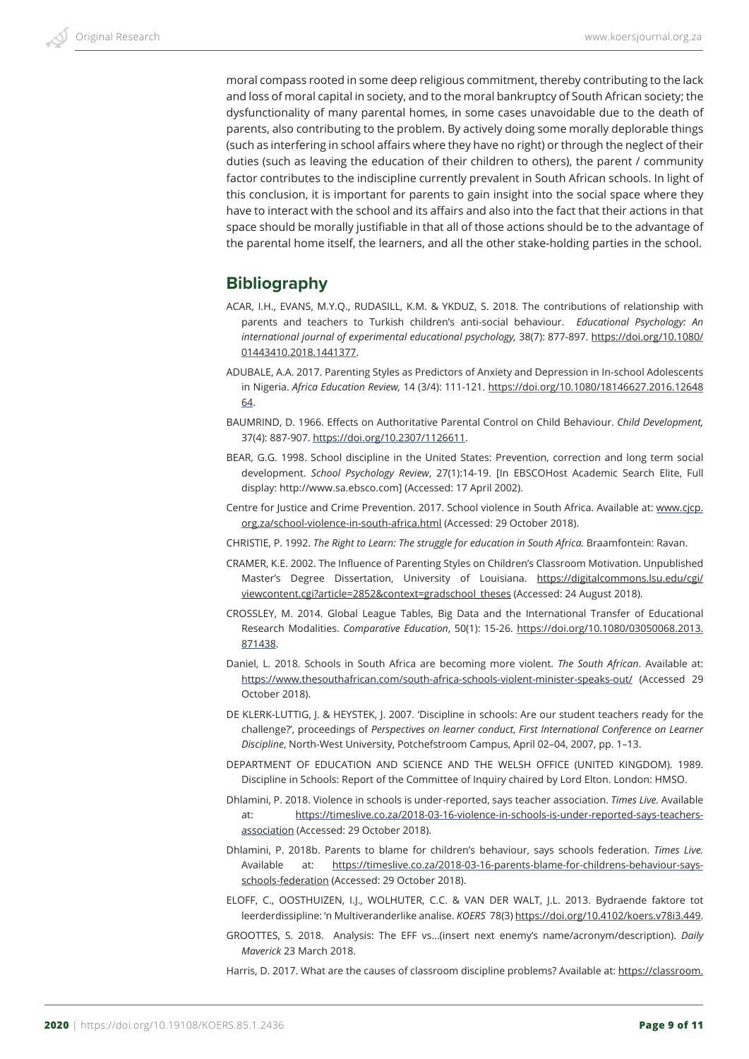moral compass rooted in some deep religious commitment, thereby contributing to the lack and loss of moral capital in society, and to the moral bankruptcy of South African society; the dysfunctionality of many parental homes, in some cases unavoidable due to the death of parents, also contributing to the problem. By actively doing some morally deplorable things (such as interfering in school affairs where they have no right) or through the neglect of their duties (such as leaving the education of their children to others), the parent / community factor contributes to the indiscipline currently prevalent in South African schools. In light of this conclusion, it is important for parents to gain insight into the social space where they have to interact with the school and its affairs and also into the fact that their actions in that space should be morally justifiable in that all of those actions should be to the advantage of the parental home itself, the learners, and all the other stake-holding parties in the school.

# **Bibliography**

- ACAR, I.H., EVANS, M.Y.Q., RUDASILL, K.M. & YKDUZ, S. 2018. The contributions of relationship with parents and teachers to Turkish children's anti-social behaviour.  *Educational Psychology: An international journal of experimental educational psychology,* 38(7): 877-897. https://doi.org/10.1080/ 01443410.2018.1441377.
- ADUBALE, A.A. 2017. Parenting Styles as Predictors of Anxiety and Depression in In-school Adolescents in Nigeria. *Africa Education Review,* 14 (3/4): 111-121. https://doi.org/10.1080/18146627.2016.12648 64.
- BAUMRIND, D. 1966. Effects on Authoritative Parental Control on Child Behaviour. *Child Development,* 37(4): 887-907. https://doi.org/10.2307/1126611.
- BEAR, G.G. 1998. School discipline in the United States: Prevention, correction and long term social development. *School Psychology Review*, 27(1):14-19. [In EBSCOHost Academic Search Elite, Full display: http://www.sa.ebsco.com] (Accessed: 17 April 2002).
- Centre for Justice and Crime Prevention. 2017. School violence in South Africa. Available at: www.cjcp. org.za/school-violence-in-south-africa.html (Accessed: 29 October 2018).
- CHRISTIE, P. 1992. *The Right to Learn: The struggle for education in South Africa.* Braamfontein: Ravan.
- CRAMER, K.E. 2002. The Influence of Parenting Styles on Children's Classroom Motivation. Unpublished Master's Degree Dissertation, University of Louisiana. https://digitalcommons.lsu.edu/cgi/ viewcontent.cgi?article=2852&context=gradschool\_theses (Accessed: 24 August 2018).
- CROSSLEY, M. 2014. Global League Tables, Big Data and the International Transfer of Educational Research Modalities. *Comparative Education*, 50(1): 15-26. https://doi.org/10.1080/03050068.2013. 871438.
- Daniel, L. 2018. Schools in South Africa are becoming more violent. *The South African*. Available at: https://www.thesouthafrican.com/south-africa-schools-violent-minister-speaks-out/ (Accessed 29 October 2018).
- DE KLERK-LUTTIG, J. & HEYSTEK, J. 2007. 'Discipline in schools: Are our student teachers ready for the challenge?', proceedings of *Perspectives on learner conduct*, *First International Conference on Learner Discipline*, North-West University, Potchefstroom Campus, April 02–04, 2007, pp. 1–13.
- DEPARTMENT OF EDUCATION AND SCIENCE AND THE WELSH OFFICE (UNITED KINGDOM). 1989. Discipline in Schools: Report of the Committee of Inquiry chaired by Lord Elton. London: HMSO.
- Dhlamini, P. 2018. Violence in schools is under-reported, says teacher association. *Times Live.* Available at: https://timeslive.co.za/2018-03-16-violence-in-schools-is-under-reported-says-teachersassociation (Accessed: 29 October 2018).
- Dhlamini, P. 2018b. Parents to blame for children's behaviour, says schools federation. *Times Live.* Available at: https://timeslive.co.za/2018-03-16-parents-blame-for-childrens-behaviour-saysschools-federation (Accessed: 29 October 2018).
- ELOFF, C., OOSTHUIZEN, I.J., WOLHUTER, C.C. & VAN DER WALT, J.L. 2013. Bydraende faktore tot leerderdissipline: 'n Multiveranderlike analise. *KOERS*  78(3) https://doi.org/10.4102/koers.v78i3.449.
- GROOTTES, S. 2018. Analysis: The EFF vs…(insert next enemy's name/acronym/description). *Daily Maverick* 23 March 2018.
- Harris, D. 2017. What are the causes of classroom discipline problems? Available at: https://classroom.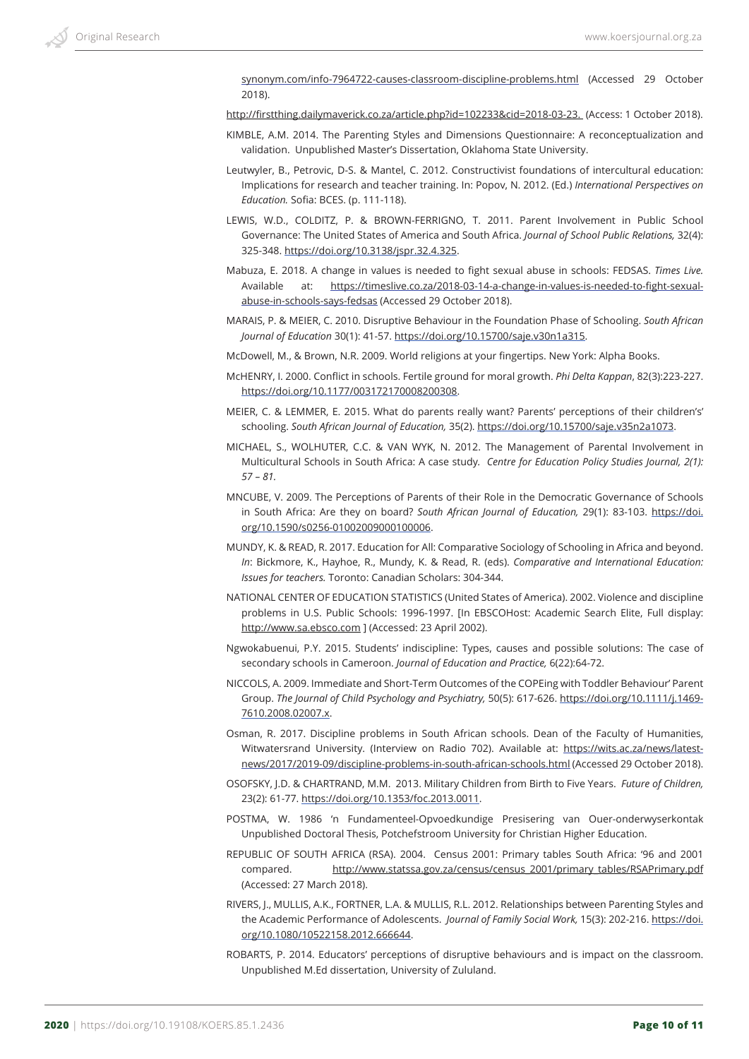synonym.com/info-7964722-causes-classroom-discipline-problems.html (Accessed 29 October 2018).

http://firstthing.dailymaverick.co.za/article.php?id=102233&cid=2018-03-23. (Access: 1 October 2018).

- KIMBLE, A.M. 2014. The Parenting Styles and Dimensions Questionnaire: A reconceptualization and validation. Unpublished Master's Dissertation, Oklahoma State University.
- Leutwyler, B., Petrovic, D-S. & Mantel, C. 2012. Constructivist foundations of intercultural education: Implications for research and teacher training. In: Popov, N. 2012. (Ed.) *International Perspectives on Education.* Sofia: BCES. (p. 111-118).
- LEWIS, W.D., COLDITZ, P. & BROWN-FERRIGNO, T. 2011. Parent Involvement in Public School Governance: The United States of America and South Africa. *Journal of School Public Relations,* 32(4): 325-348. https://doi.org/10.3138/jspr.32.4.325.
- Mabuza, E. 2018. A change in values is needed to fight sexual abuse in schools: FEDSAS. *Times Live.* Available at: https://timeslive.co.za/2018-03-14-a-change-in-values-is-needed-to-fight-sexualabuse-in-schools-says-fedsas (Accessed 29 October 2018).
- MARAIS, P. & MEIER, C. 2010. Disruptive Behaviour in the Foundation Phase of Schooling. *South African Journal of Education* 30(1): 41-57. https://doi.org/10.15700/saje.v30n1a315.
- McDowell, M., & Brown, N.R. 2009. World religions at your fingertips. New York: Alpha Books.
- McHENRY, I. 2000. Conflict in schools. Fertile ground for moral growth. *Phi Delta Kappan*, 82(3):223-227. https://doi.org/10.1177/003172170008200308.
- MEIER, C. & LEMMER, E. 2015. What do parents really want? Parents' perceptions of their children's' schooling. *South African Journal of Education,* 35(2). https://doi.org/10.15700/saje.v35n2a1073.
- MICHAEL, S., WOLHUTER, C.C. & VAN WYK, N. 2012. The Management of Parental Involvement in Multicultural Schools in South Africa: A case study*. Centre for Education Policy Studies Journal, 2(1): 57 – 81.*
- MNCUBE, V. 2009. The Perceptions of Parents of their Role in the Democratic Governance of Schools in South Africa: Are they on board? *South African Journal of Education,* 29(1): 83-103. https://doi. org/10.1590/s0256-01002009000100006.
- MUNDY, K. & READ, R. 2017. Education for All: Comparative Sociology of Schooling in Africa and beyond. *In*: Bickmore, K., Hayhoe, R., Mundy, K. & Read, R. (eds). *Comparative and International Education: Issues for teachers.* Toronto: Canadian Scholars: 304-344.
- NATIONAL CENTER OF EDUCATION STATISTICS (United States of America). 2002. Violence and discipline problems in U.S. Public Schools: 1996-1997. [In EBSCOHost: Academic Search Elite, Full display: http://www.sa.ebsco.com ] (Accessed: 23 April 2002).
- Ngwokabuenui, P.Y. 2015. Students' indiscipline: Types, causes and possible solutions: The case of secondary schools in Cameroon. *Journal of Education and Practice,* 6(22):64-72.
- NICCOLS, A. 2009. Immediate and Short-Term Outcomes of the COPEing with Toddler Behaviour' Parent Group. *The Journal of Child Psychology and Psychiatry,* 50(5): 617-626. https://doi.org/10.1111/j.1469- 7610.2008.02007.x.
- Osman, R. 2017. Discipline problems in South African schools. Dean of the Faculty of Humanities, Witwatersrand University. (Interview on Radio 702). Available at: https://wits.ac.za/news/latestnews/2017/2019-09/discipline-problems-in-south-african-schools.html (Accessed 29 October 2018).
- OSOFSKY, J.D. & CHARTRAND, M.M. 2013. Military Children from Birth to Five Years.  *Future of Children,* 23(2): 61-77. https://doi.org/10.1353/foc.2013.0011.
- POSTMA, W. 1986 'n Fundamenteel-Opvoedkundige Presisering van Ouer-onderwyserkontak Unpublished Doctoral Thesis, Potchefstroom University for Christian Higher Education.
- REPUBLIC OF SOUTH AFRICA (RSA). 2004. Census 2001: Primary tables South Africa: '96 and 2001 compared. http://www.statssa.gov.za/census/census\_2001/primary\_tables/RSAPrimary.pdf (Accessed: 27 March 2018).
- RIVERS, J., MULLIS, A.K., FORTNER, L.A. & MULLIS, R.L. 2012. Relationships between Parenting Styles and the Academic Performance of Adolescents.  *Journal of Family Social Work,* 15(3): 202-216. https://doi. org/10.1080/10522158.2012.666644.
- ROBARTS, P. 2014. Educators' perceptions of disruptive behaviours and is impact on the classroom. Unpublished M.Ed dissertation, University of Zululand.